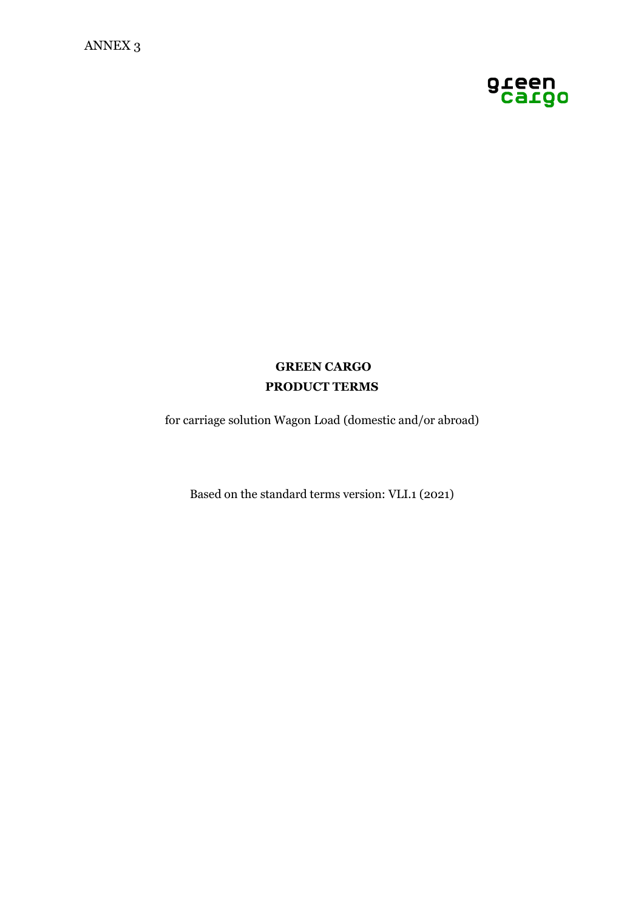

# **GREEN CARGO PRODUCT TERMS**

for carriage solution Wagon Load (domestic and/or abroad)

Based on the standard terms version: VLI.1 (2021)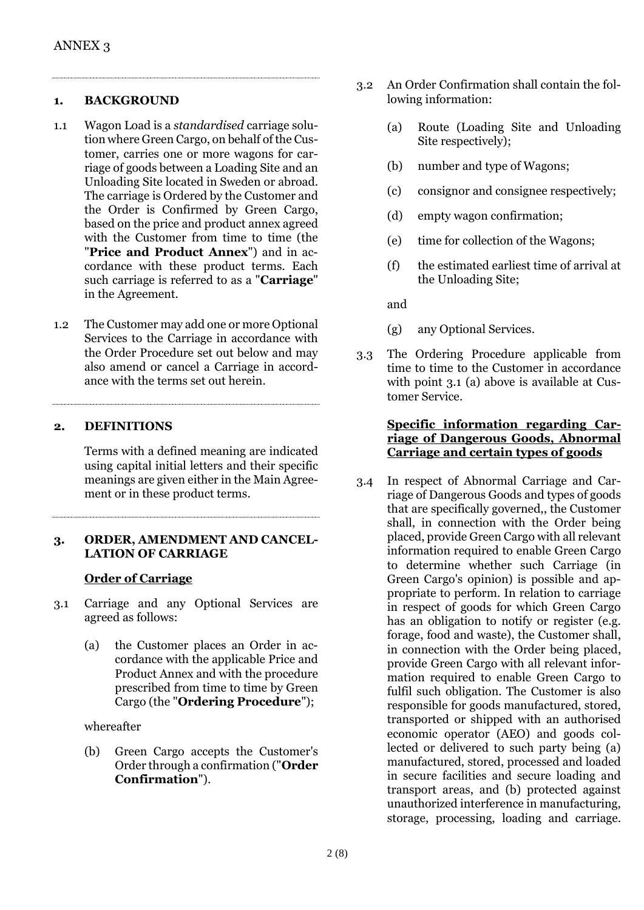#### **1. BACKGROUND**

- 1.1 Wagon Load is a *standardised* carriage solution where Green Cargo, on behalf of the Customer, carries one or more wagons for carriage of goods between a Loading Site and an Unloading Site located in Sweden or abroad. The carriage is Ordered by the Customer and the Order is Confirmed by Green Cargo, based on the price and product annex agreed with the Customer from time to time (the "**Price and Product Annex**") and in accordance with these product terms. Each such carriage is referred to as a "**Carriage**" in the Agreement.
- 1.2 The Customer may add one or more Optional Services to the Carriage in accordance with the Order Procedure set out below and may also amend or cancel a Carriage in accordance with the terms set out herein.

### **2. DEFINITIONS**

Terms with a defined meaning are indicated using capital initial letters and their specific meanings are given either in the Main Agreement or in these product terms.

### **3. ORDER, AMENDMENT AND CANCEL-LATION OF CARRIAGE**

# **Order of Carriage**

- 3.1 Carriage and any Optional Services are agreed as follows:
	- (a) the Customer places an Order in accordance with the applicable Price and Product Annex and with the procedure prescribed from time to time by Green Cargo (the "**Ordering Procedure**");

whereafter

(b) Green Cargo accepts the Customer's Order through a confirmation ("**Order Confirmation**").

- 3.2 An Order Confirmation shall contain the following information:
	- (a) Route (Loading Site and Unloading Site respectively);
	- (b) number and type of Wagons;
	- (c) consignor and consignee respectively;
	- (d) empty wagon confirmation;
	- (e) time for collection of the Wagons;
	- (f) the estimated earliest time of arrival at the Unloading Site;

and

- (g) any Optional Services.
- 3.3 The Ordering Procedure applicable from time to time to the Customer in accordance with point 3.1 (a) above is available at Customer Service.

### **Specific information regarding Carriage of Dangerous Goods, Abnormal Carriage and certain types of goods**

3.4 In respect of Abnormal Carriage and Carriage of Dangerous Goods and types of goods that are specifically governed,, the Customer shall, in connection with the Order being placed, provide Green Cargo with all relevant information required to enable Green Cargo to determine whether such Carriage (in Green Cargo's opinion) is possible and appropriate to perform. In relation to carriage in respect of goods for which Green Cargo has an obligation to notify or register (e.g. forage, food and waste), the Customer shall, in connection with the Order being placed, provide Green Cargo with all relevant information required to enable Green Cargo to fulfil such obligation. The Customer is also responsible for goods manufactured, stored, transported or shipped with an authorised economic operator (AEO) and goods collected or delivered to such party being (a) manufactured, stored, processed and loaded in secure facilities and secure loading and transport areas, and (b) protected against unauthorized interference in manufacturing, storage, processing, loading and carriage.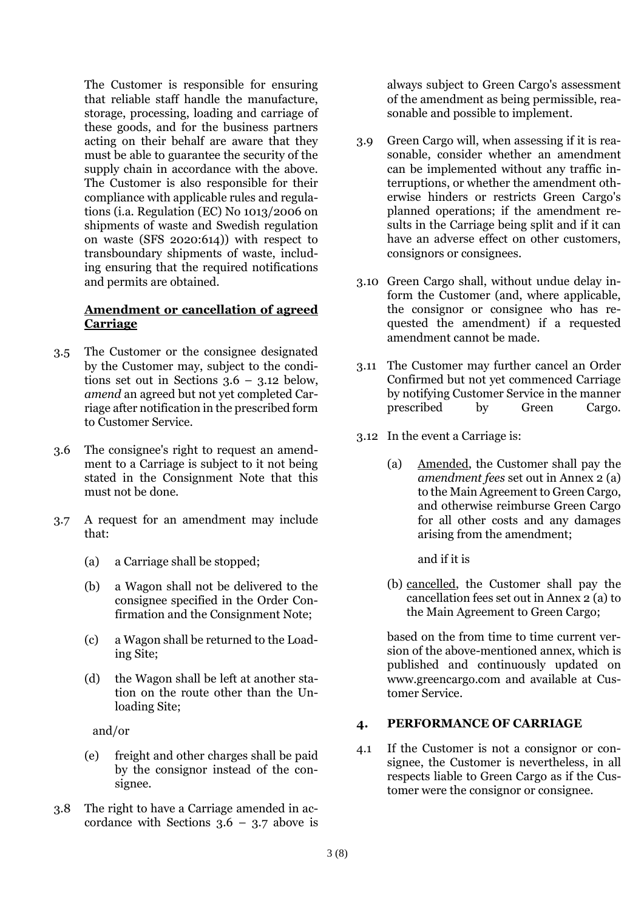The Customer is responsible for ensuring that reliable staff handle the manufacture, storage, processing, loading and carriage of these goods, and for the business partners acting on their behalf are aware that they must be able to guarantee the security of the supply chain in accordance with the above. The Customer is also responsible for their compliance with applicable rules and regulations (i.a. Regulation (EC) No 1013/2006 on shipments of waste and Swedish regulation on waste (SFS 2020:614)) with respect to transboundary shipments of waste, including ensuring that the required notifications and permits are obtained.

#### **Amendment or cancellation of agreed Carriage**

- 3.5 The Customer or the consignee designated by the Customer may, subject to the conditions set out in Sections  $3.6 - 3.12$  below, *amend* an agreed but not yet completed Carriage after notification in the prescribed form to Customer Service.
- 3.6 The consignee's right to request an amendment to a Carriage is subject to it not being stated in the Consignment Note that this must not be done.
- 3.7 A request for an amendment may include that:
	- (a) a Carriage shall be stopped;
	- (b) a Wagon shall not be delivered to the consignee specified in the Order Confirmation and the Consignment Note;
	- (c) a Wagon shall be returned to the Loading Site;
	- (d) the Wagon shall be left at another station on the route other than the Unloading Site;

and/or

- (e) freight and other charges shall be paid by the consignor instead of the consignee.
- 3.8 The right to have a Carriage amended in accordance with Sections  $3.6 - 3.7$  above is

always subject to Green Cargo's assessment of the amendment as being permissible, reasonable and possible to implement.

- 3.9 Green Cargo will, when assessing if it is reasonable, consider whether an amendment can be implemented without any traffic interruptions, or whether the amendment otherwise hinders or restricts Green Cargo's planned operations; if the amendment results in the Carriage being split and if it can have an adverse effect on other customers, consignors or consignees.
- 3.10 Green Cargo shall, without undue delay inform the Customer (and, where applicable, the consignor or consignee who has requested the amendment) if a requested amendment cannot be made.
- 3.11 The Customer may further cancel an Order Confirmed but not yet commenced Carriage by notifying Customer Service in the manner prescribed by Green Cargo.
- 3.12 In the event a Carriage is:
	- (a) Amended, the Customer shall pay the *amendment fees* set out in Annex 2 (a) to the Main Agreement to Green Cargo, and otherwise reimburse Green Cargo for all other costs and any damages arising from the amendment;
		- and if it is
	- (b) cancelled, the Customer shall pay the cancellation fees set out in Annex 2 (a) to the Main Agreement to Green Cargo;

based on the from time to time current version of the above-mentioned annex, which is published and continuously updated on www.greencargo.com and available at Customer Service.

#### **4. PERFORMANCE OF CARRIAGE**

4.1 If the Customer is not a consignor or consignee, the Customer is nevertheless, in all respects liable to Green Cargo as if the Customer were the consignor or consignee.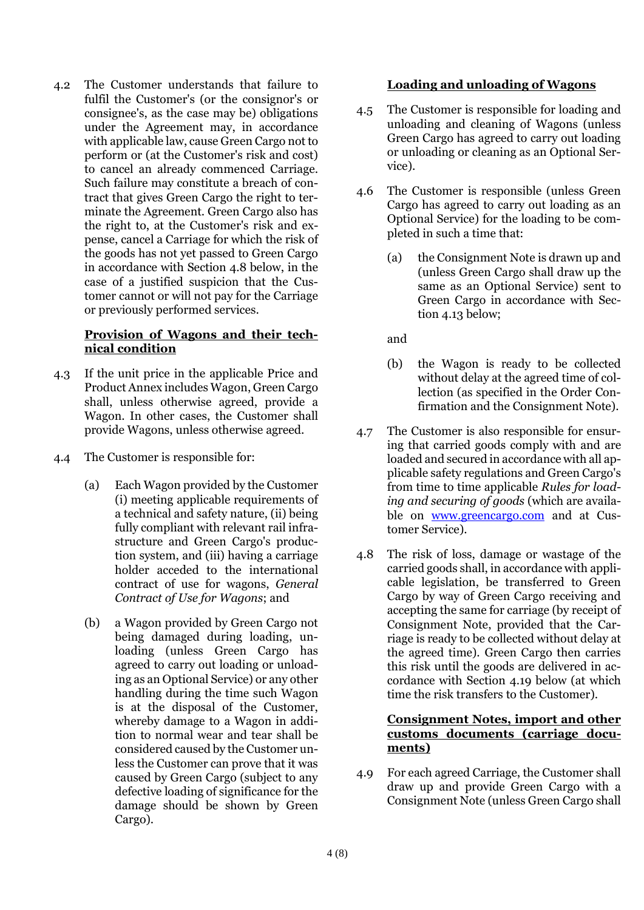4.2 The Customer understands that failure to fulfil the Customer's (or the consignor's or consignee's, as the case may be) obligations under the Agreement may, in accordance with applicable law, cause Green Cargo not to perform or (at the Customer's risk and cost) to cancel an already commenced Carriage. Such failure may constitute a breach of contract that gives Green Cargo the right to terminate the Agreement. Green Cargo also has the right to, at the Customer's risk and expense, cancel a Carriage for which the risk of the goods has not yet passed to Green Cargo in accordance with Section 4.8 below, in the case of a justified suspicion that the Customer cannot or will not pay for the Carriage or previously performed services.

### **Provision of Wagons and their technical condition**

- 4.3 If the unit price in the applicable Price and Product Annex includes Wagon, Green Cargo shall, unless otherwise agreed, provide a Wagon. In other cases, the Customer shall provide Wagons, unless otherwise agreed.
- 4.4 The Customer is responsible for:
	- (a) Each Wagon provided by the Customer (i) meeting applicable requirements of a technical and safety nature, (ii) being fully compliant with relevant rail infrastructure and Green Cargo's production system, and (iii) having a carriage holder acceded to the international contract of use for wagons, *General Contract of Use for Wagons*; and
	- (b) a Wagon provided by Green Cargo not being damaged during loading, unloading (unless Green Cargo has agreed to carry out loading or unloading as an Optional Service) or any other handling during the time such Wagon is at the disposal of the Customer, whereby damage to a Wagon in addition to normal wear and tear shall be considered caused by the Customer unless the Customer can prove that it was caused by Green Cargo (subject to any defective loading of significance for the damage should be shown by Green Cargo).

### **Loading and unloading of Wagons**

- 4.5 The Customer is responsible for loading and unloading and cleaning of Wagons (unless Green Cargo has agreed to carry out loading or unloading or cleaning as an Optional Service).
- 4.6 The Customer is responsible (unless Green Cargo has agreed to carry out loading as an Optional Service) for the loading to be completed in such a time that:
	- (a) the Consignment Note is drawn up and (unless Green Cargo shall draw up the same as an Optional Service) sent to Green Cargo in accordance with Section 4.13 below;

and

- (b) the Wagon is ready to be collected without delay at the agreed time of collection (as specified in the Order Confirmation and the Consignment Note).
- 4.7 The Customer is also responsible for ensuring that carried goods comply with and are loaded and secured in accordance with all applicable safety regulations and Green Cargo's from time to time applicable *Rules for loading and securing of goods* (which are available on [www.greencargo.com](http://www.greencargo.com/) and at Customer Service).
- 4.8 The risk of loss, damage or wastage of the carried goods shall, in accordance with applicable legislation, be transferred to Green Cargo by way of Green Cargo receiving and accepting the same for carriage (by receipt of Consignment Note, provided that the Carriage is ready to be collected without delay at the agreed time). Green Cargo then carries this risk until the goods are delivered in accordance with Section 4.19 below (at which time the risk transfers to the Customer).

#### **Consignment Notes, import and other customs documents (carriage documents)**

4.9 For each agreed Carriage, the Customer shall draw up and provide Green Cargo with a Consignment Note (unless Green Cargo shall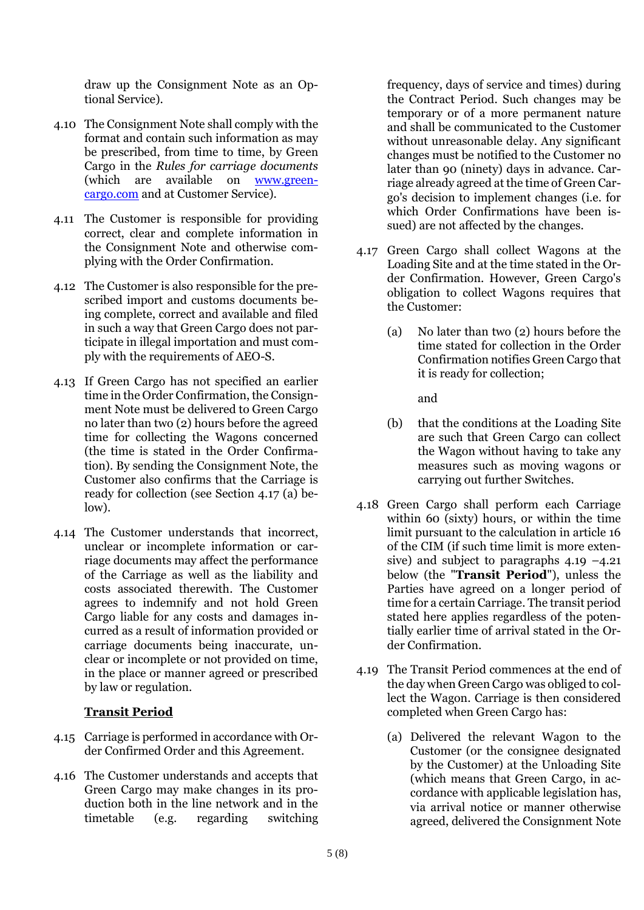draw up the Consignment Note as an Optional Service).

- 4.10 The Consignment Note shall comply with the format and contain such information as may be prescribed, from time to time, by Green Cargo in the *Rules for carriage documents* (which are available on [www.green](http://www.greencargo.com/)[cargo.com](http://www.greencargo.com/) and at Customer Service).
- 4.11 The Customer is responsible for providing correct, clear and complete information in the Consignment Note and otherwise complying with the Order Confirmation.
- 4.12 The Customer is also responsible for the prescribed import and customs documents being complete, correct and available and filed in such a way that Green Cargo does not participate in illegal importation and must comply with the requirements of AEO-S.
- 4.13 If Green Cargo has not specified an earlier time in the Order Confirmation, the Consignment Note must be delivered to Green Cargo no later than two (2) hours before the agreed time for collecting the Wagons concerned (the time is stated in the Order Confirmation). By sending the Consignment Note, the Customer also confirms that the Carriage is ready for collection (see Section 4.17 (a) below).
- 4.14 The Customer understands that incorrect, unclear or incomplete information or carriage documents may affect the performance of the Carriage as well as the liability and costs associated therewith. The Customer agrees to indemnify and not hold Green Cargo liable for any costs and damages incurred as a result of information provided or carriage documents being inaccurate, unclear or incomplete or not provided on time, in the place or manner agreed or prescribed by law or regulation.

#### **Transit Period**

- 4.15 Carriage is performed in accordance with Order Confirmed Order and this Agreement.
- 4.16 The Customer understands and accepts that Green Cargo may make changes in its production both in the line network and in the timetable (e.g. regarding switching

frequency, days of service and times) during the Contract Period. Such changes may be temporary or of a more permanent nature and shall be communicated to the Customer without unreasonable delay. Any significant changes must be notified to the Customer no later than 90 (ninety) days in advance. Carriage already agreed at the time of Green Cargo's decision to implement changes (i.e. for which Order Confirmations have been issued) are not affected by the changes.

- 4.17 Green Cargo shall collect Wagons at the Loading Site and at the time stated in the Order Confirmation. However, Green Cargo's obligation to collect Wagons requires that the Customer:
	- (a) No later than two (2) hours before the time stated for collection in the Order Confirmation notifies Green Cargo that it is ready for collection;

and

- (b) that the conditions at the Loading Site are such that Green Cargo can collect the Wagon without having to take any measures such as moving wagons or carrying out further Switches.
- 4.18 Green Cargo shall perform each Carriage within 60 (sixty) hours, or within the time limit pursuant to the calculation in article 16 of the CIM (if such time limit is more extensive) and subject to paragraphs  $4.19 - 4.21$ below (the "**Transit Period**"), unless the Parties have agreed on a longer period of time for a certain Carriage. The transit period stated here applies regardless of the potentially earlier time of arrival stated in the Order Confirmation.
- 4.19 The Transit Period commences at the end of the day when Green Cargo was obliged to collect the Wagon. Carriage is then considered completed when Green Cargo has:
	- (a) Delivered the relevant Wagon to the Customer (or the consignee designated by the Customer) at the Unloading Site (which means that Green Cargo, in accordance with applicable legislation has, via arrival notice or manner otherwise agreed, delivered the Consignment Note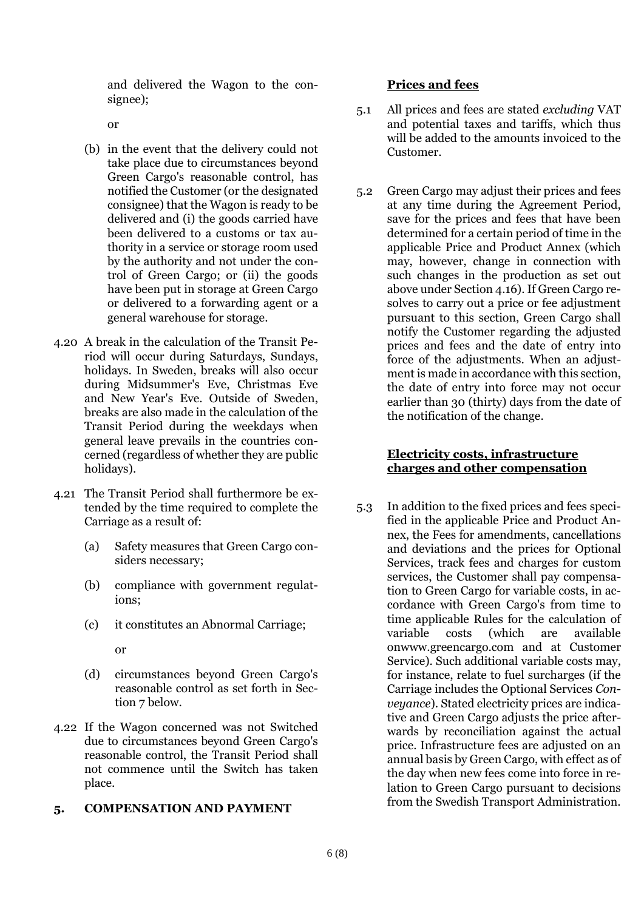and delivered the Wagon to the consignee);

or

- (b) in the event that the delivery could not take place due to circumstances beyond Green Cargo's reasonable control, has notified the Customer (or the designated consignee) that the Wagon is ready to be delivered and (i) the goods carried have been delivered to a customs or tax authority in a service or storage room used by the authority and not under the control of Green Cargo; or (ii) the goods have been put in storage at Green Cargo or delivered to a forwarding agent or a general warehouse for storage.
- 4.20 A break in the calculation of the Transit Period will occur during Saturdays, Sundays, holidays. In Sweden, breaks will also occur during Midsummer's Eve, Christmas Eve and New Year's Eve. Outside of Sweden, breaks are also made in the calculation of the Transit Period during the weekdays when general leave prevails in the countries concerned (regardless of whether they are public holidays).
- 4.21 The Transit Period shall furthermore be extended by the time required to complete the Carriage as a result of:
	- (a) Safety measures that Green Cargo considers necessary;
	- (b) compliance with government regulations;
	- (c) it constitutes an Abnormal Carriage;

or

- (d) circumstances beyond Green Cargo's reasonable control as set forth in Section 7 below.
- 4.22 If the Wagon concerned was not Switched due to circumstances beyond Green Cargo's reasonable control, the Transit Period shall not commence until the Switch has taken place.

### **5. COMPENSATION AND PAYMENT**

#### **Prices and fees**

- 5.1 All prices and fees are stated *excluding* VAT and potential taxes and tariffs, which thus will be added to the amounts invoiced to the Customer.
- 5.2 Green Cargo may adjust their prices and fees at any time during the Agreement Period, save for the prices and fees that have been determined for a certain period of time in the applicable Price and Product Annex (which may, however, change in connection with such changes in the production as set out above under Section 4.16). If Green Cargo resolves to carry out a price or fee adjustment pursuant to this section, Green Cargo shall notify the Customer regarding the adjusted prices and fees and the date of entry into force of the adjustments. When an adjustment is made in accordance with this section, the date of entry into force may not occur earlier than 30 (thirty) days from the date of the notification of the change.

### **Electricity costs, infrastructure charges and other compensation**

5.3 In addition to the fixed prices and fees specified in the applicable Price and Product Annex, the Fees for amendments, cancellations and deviations and the prices for Optional Services, track fees and charges for custom services, the Customer shall pay compensation to Green Cargo for variable costs, in accordance with Green Cargo's from time to time applicable Rules for the calculation of variable costs (which are available onwww.greencargo.com and at Customer Service). Such additional variable costs may, for instance, relate to fuel surcharges (if the Carriage includes the Optional Services *Conveyance*). Stated electricity prices are indicative and Green Cargo adjusts the price afterwards by reconciliation against the actual price. Infrastructure fees are adjusted on an annual basis by Green Cargo, with effect as of the day when new fees come into force in relation to Green Cargo pursuant to decisions from the Swedish Transport Administration.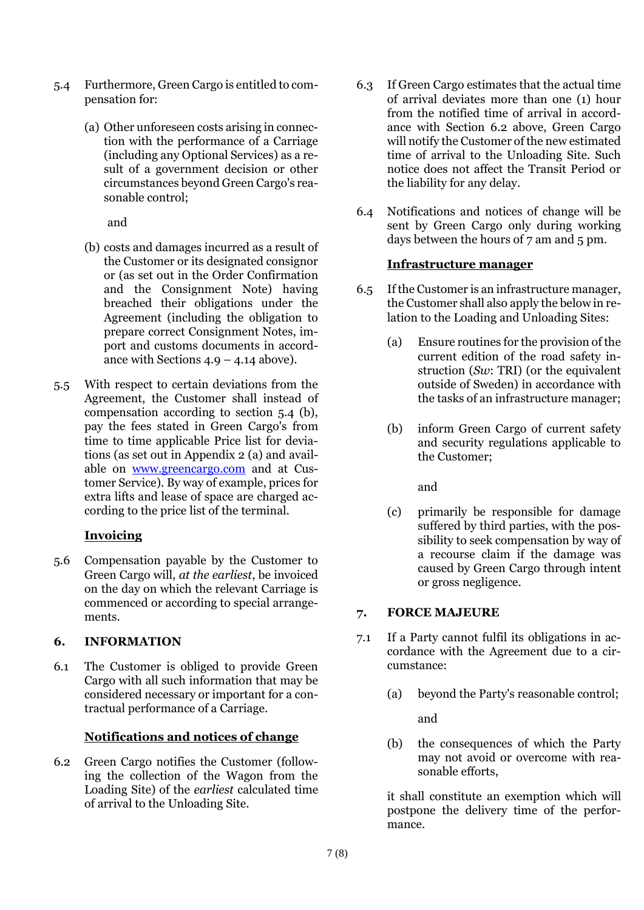- 5.4 Furthermore, Green Cargo is entitled to compensation for:
	- (a) Other unforeseen costs arising in connection with the performance of a Carriage (including any Optional Services) as a result of a government decision or other circumstances beyond Green Cargo's reasonable control;

and

- (b) costs and damages incurred as a result of the Customer or its designated consignor or (as set out in the Order Confirmation and the Consignment Note) having breached their obligations under the Agreement (including the obligation to prepare correct Consignment Notes, import and customs documents in accordance with Sections  $4.9 - 4.14$  above).
- 5.5 With respect to certain deviations from the Agreement, the Customer shall instead of compensation according to section 5.4 (b), pay the fees stated in Green Cargo's from time to time applicable Price list for deviations (as set out in Appendix 2 (a) and available on [www.greencargo.com](http://www.greencargo.com/) and at Customer Service). By way of example, prices for extra lifts and lease of space are charged according to the price list of the terminal.

### **Invoicing**

5.6 Compensation payable by the Customer to Green Cargo will, *at the earliest*, be invoiced on the day on which the relevant Carriage is commenced or according to special arrangements.

# **6. INFORMATION**

6.1 The Customer is obliged to provide Green Cargo with all such information that may be considered necessary or important for a contractual performance of a Carriage.

# **Notifications and notices of change**

6.2 Green Cargo notifies the Customer (following the collection of the Wagon from the Loading Site) of the *earliest* calculated time of arrival to the Unloading Site.

- 6.3 If Green Cargo estimates that the actual time of arrival deviates more than one (1) hour from the notified time of arrival in accordance with Section 6.2 above, Green Cargo will notify the Customer of the new estimated time of arrival to the Unloading Site. Such notice does not affect the Transit Period or the liability for any delay.
- 6.4 Notifications and notices of change will be sent by Green Cargo only during working days between the hours of 7 am and 5 pm.

## **Infrastructure manager**

- 6.5 If the Customer is an infrastructure manager, the Customer shall also apply the below in relation to the Loading and Unloading Sites:
	- (a) Ensure routines for the provision of the current edition of the road safety instruction (*Sw*: TRI) (or the equivalent outside of Sweden) in accordance with the tasks of an infrastructure manager;
	- (b) inform Green Cargo of current safety and security regulations applicable to the Customer;

and

(c) primarily be responsible for damage suffered by third parties, with the possibility to seek compensation by way of a recourse claim if the damage was caused by Green Cargo through intent or gross negligence.

# **7. FORCE MAJEURE**

- 7.1 If a Party cannot fulfil its obligations in accordance with the Agreement due to a circumstance:
	- (a) beyond the Party's reasonable control;

and

(b) the consequences of which the Party may not avoid or overcome with reasonable efforts,

it shall constitute an exemption which will postpone the delivery time of the performance.